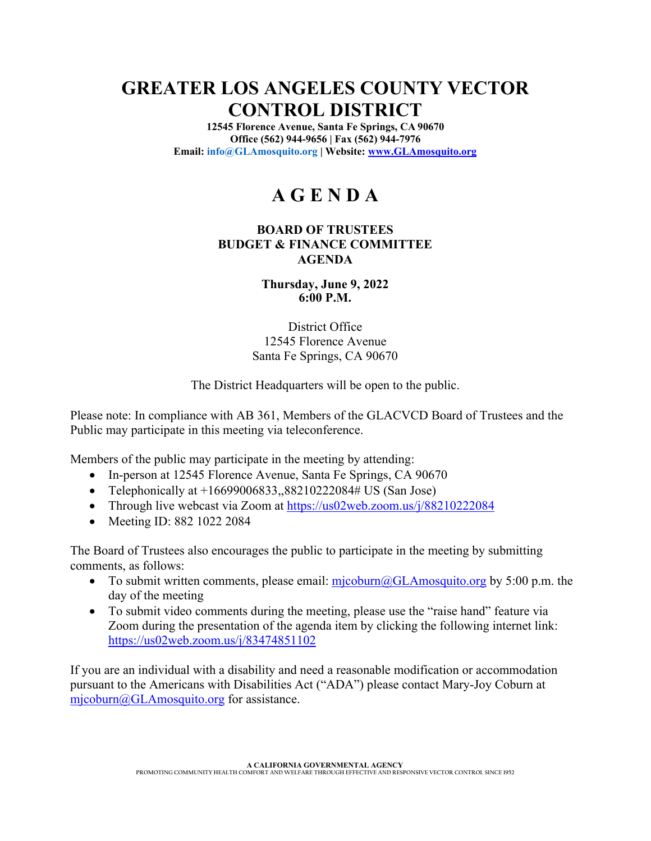## **GREATER LOS ANGELES COUNTY VECTOR CONTROL DISTRICT**

**12545 Florence Avenue, Santa Fe Springs, CA 90670 Office (562) 944-9656 | Fax (562) 944-7976 Email: info@GLAmosquito.org | Website: www.GLAmosquito.org**

# **A G E N D A**

#### **BOARD OF TRUSTEES BUDGET & FINANCE COMMITTEE AGENDA**

**Thursday, June 9, 2022 6:00 P.M.** 

District Office 12545 Florence Avenue Santa Fe Springs, CA 90670

The District Headquarters will be open to the public.

Please note: In compliance with AB 361, Members of the GLACVCD Board of Trustees and the Public may participate in this meeting via teleconference.

Members of the public may participate in the meeting by attending:

- In-person at 12545 Florence Avenue, Santa Fe Springs, CA 90670
- Telephonically at  $+16699006833,88210222084\#$  US (San Jose)
- Through live webcast via Zoom at https://us02web.zoom.us/j/88210222084
- Meeting ID: 882 1022 2084

The Board of Trustees also encourages the public to participate in the meeting by submitting comments, as follows:

- To submit written comments, please email:  $\frac{m}{\text{p}}$  cosquito.org by 5:00 p.m. the day of the meeting
- To submit video comments during the meeting, please use the "raise hand" feature via Zoom during the presentation of the agenda item by clicking the following internet link: https://us02web.zoom.us/j/83474851102

If you are an individual with a disability and need a reasonable modification or accommodation pursuant to the Americans with Disabilities Act ("ADA") please contact Mary-Joy Coburn at mjcoburn@GLAmosquito.org for assistance.